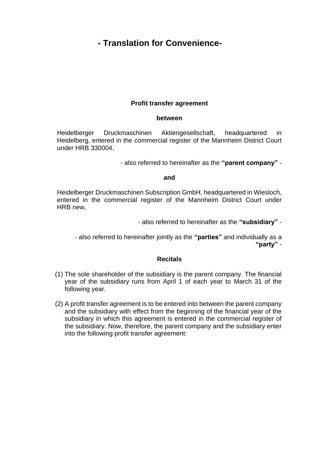# **- Translation for Convenience-**

## **Profit transfer agreement**

#### **between**

Heidelberger Druckmaschinen Aktiengesellschaft, headquartered in Heidelberg, entered in the commercial register of the Mannheim District Court under HRB 330004,

- also referred to hereinafter as the **"parent company"** -

#### **and**

Heidelberger Druckmaschinen Subscription GmbH, headquartered in Wiesloch, entered in the commercial register of the Mannheim District Court under HRB new,

- also referred to hereinafter as the **"subsidiary"** -

- also referred to hereinafter jointly as the **"parties"** and individually as a **"party"** -

#### **Recitals**

- (1) The sole shareholder of the subsidiary is the parent company. The financial year of the subsidiary runs from April 1 of each year to March 31 of the following year.
- (2) A profit transfer agreement is to be entered into between the parent company and the subsidiary with effect from the beginning of the financial year of the subsidiary in which this agreement is entered in the commercial register of the subsidiary. Now, therefore, the parent company and the subsidiary enter into the following profit transfer agreement: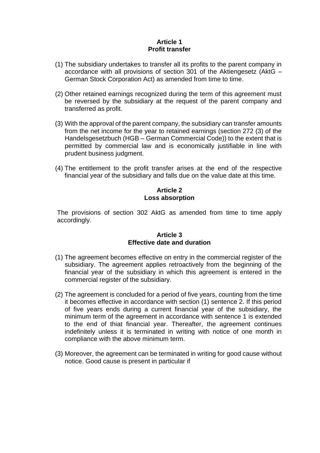## **Article 1 Profit transfer**

- (1) The subsidiary undertakes to transfer all its profits to the parent company in accordance with all provisions of section 301 of the Aktiengesetz (AktG – German Stock Corporation Act) as amended from time to time.
- (2) Other retained earnings recognized during the term of this agreement must be reversed by the subsidiary at the request of the parent company and transferred as profit.
- (3) With the approval of the parent company, the subsidiary can transfer amounts from the net income for the year to retained earnings (section 272 (3) of the Handelsgesetzbuch (HGB – German Commercial Code)) to the extent that is permitted by commercial law and is economically justifiable in line with prudent business judgment.
- (4) The entitlement to the profit transfer arises at the end of the respective financial year of the subsidiary and falls due on the value date at this time.

# **Article 2 Loss absorption**

The provisions of section 302 AktG as amended from time to time apply accordingly.

# **Article 3 Effective date and duration**

- (1) The agreement becomes effective on entry in the commercial register of the subsidiary. The agreement applies retroactively from the beginning of the financial year of the subsidiary in which this agreement is entered in the commercial register of the subsidiary.
- (2) The agreement is concluded for a period of five years, counting from the time it becomes effective in accordance with section (1) sentence 2. If this period of five years ends during a current financial year of the subsidiary, the minimum term of the agreement in accordance with sentence 1 is extended to the end of thiat financial year. Thereafter, the agreement continues indefinitely unless it is terminated in writing with notice of one month in compliance with the above minimum term.
- (3) Moreover, the agreement can be terminated in writing for good cause without notice. Good cause is present in particular if